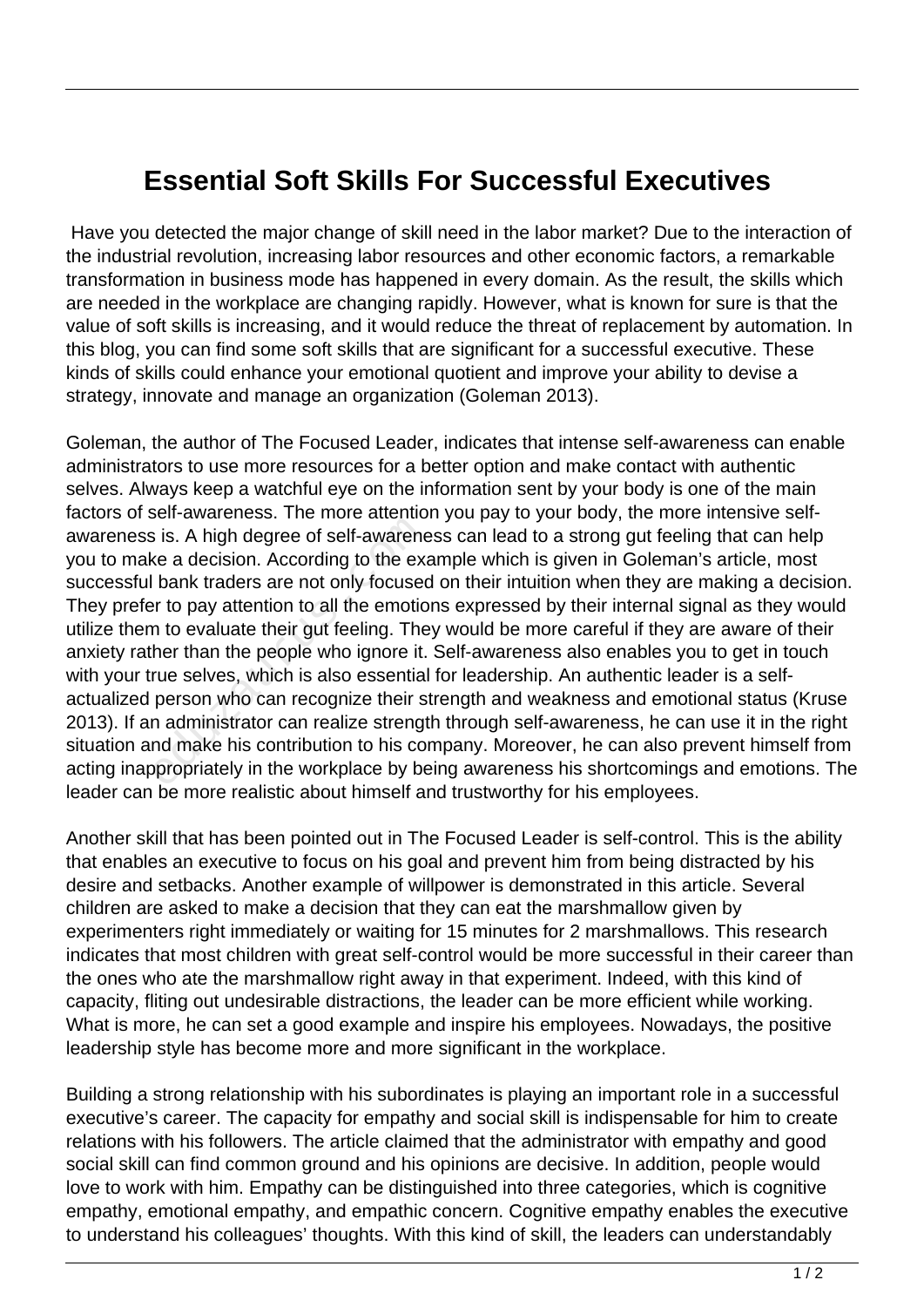## **Essential Soft Skills For Successful Executives**

 Have you detected the major change of skill need in the labor market? Due to the interaction of the industrial revolution, increasing labor resources and other economic factors, a remarkable transformation in business mode has happened in every domain. As the result, the skills which are needed in the workplace are changing rapidly. However, what is known for sure is that the value of soft skills is increasing, and it would reduce the threat of replacement by automation. In this blog, you can find some soft skills that are significant for a successful executive. These kinds of skills could enhance your emotional quotient and improve your ability to devise a strategy, innovate and manage an organization (Goleman 2013).

Goleman, the author of The Focused Leader, indicates that intense self-awareness can enable administrators to use more resources for a better option and make contact with authentic selves. Always keep a watchful eye on the information sent by your body is one of the main factors of self-awareness. The more attention you pay to your body, the more intensive selfawareness is. A high degree of self-awareness can lead to a strong gut feeling that can help you to make a decision. According to the example which is given in Goleman's article, most successful bank traders are not only focused on their intuition when they are making a decision. They prefer to pay attention to all the emotions expressed by their internal signal as they would utilize them to evaluate their gut feeling. They would be more careful if they are aware of their anxiety rather than the people who ignore it. Self-awareness also enables you to get in touch with your true selves, which is also essential for leadership. An authentic leader is a selfactualized person who can recognize their strength and weakness and emotional status (Kruse 2013). If an administrator can realize strength through self-awareness, he can use it in the right situation and make his contribution to his company. Moreover, he can also prevent himself from acting inappropriately in the workplace by being awareness his shortcomings and emotions. The leader can be more realistic about himself and trustworthy for his employees. is is. A high degree of self-awarene<br>
is is. A high degree of self-awarene<br>
ve a decision. According to the example thank traders are not only focused<br>
in to evaluate their gut feeling. The<br>
her than the people who ignore

Another skill that has been pointed out in The Focused Leader is self-control. This is the ability that enables an executive to focus on his goal and prevent him from being distracted by his desire and setbacks. Another example of willpower is demonstrated in this article. Several children are asked to make a decision that they can eat the marshmallow given by experimenters right immediately or waiting for 15 minutes for 2 marshmallows. This research indicates that most children with great self-control would be more successful in their career than the ones who ate the marshmallow right away in that experiment. Indeed, with this kind of capacity, fliting out undesirable distractions, the leader can be more efficient while working. What is more, he can set a good example and inspire his employees. Nowadays, the positive leadership style has become more and more significant in the workplace.

Building a strong relationship with his subordinates is playing an important role in a successful executive's career. The capacity for empathy and social skill is indispensable for him to create relations with his followers. The article claimed that the administrator with empathy and good social skill can find common ground and his opinions are decisive. In addition, people would love to work with him. Empathy can be distinguished into three categories, which is cognitive empathy, emotional empathy, and empathic concern. Cognitive empathy enables the executive to understand his colleagues' thoughts. With this kind of skill, the leaders can understandably